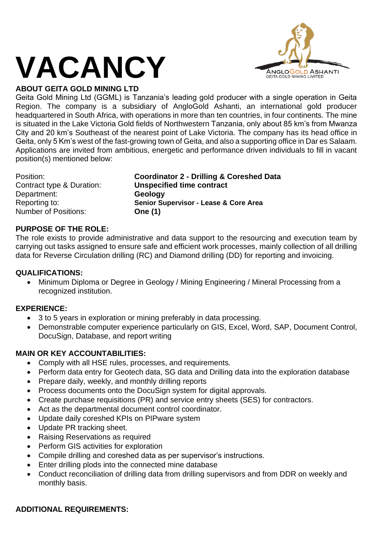## **VACANCY**



## **ABOUT GEITA GOLD MINING LTD**

Geita Gold Mining Ltd (GGML) is Tanzania's leading gold producer with a single operation in Geita Region. The company is a subsidiary of AngloGold Ashanti, an international gold producer headquartered in South Africa, with operations in more than ten countries, in four continents. The mine is situated in the Lake Victoria Gold fields of Northwestern Tanzania, only about 85 km's from Mwanza City and 20 km's Southeast of the nearest point of Lake Victoria. The company has its head office in Geita, only 5 Km's west of the fast-growing town of Geita, and also a supporting office in Dar es Salaam. Applications are invited from ambitious, energetic and performance driven individuals to fill in vacant position(s) mentioned below:

Department: **Geology** Number of Positions: **One (1)**

Position: **Coordinator 2 - Drilling & Coreshed Data** Contract type & Duration: **Unspecified time contract** Reporting to: **Senior Supervisor - Lease & Core Area**

## **PURPOSE OF THE ROLE:**

The role exists to provide administrative and data support to the resourcing and execution team by carrying out tasks assigned to ensure safe and efficient work processes, mainly collection of all drilling data for Reverse Circulation drilling (RC) and Diamond drilling (DD) for reporting and invoicing.

#### **QUALIFICATIONS:**

• Minimum Diploma or Degree in Geology / Mining Engineering / Mineral Processing from a recognized institution.

#### **EXPERIENCE:**

- 3 to 5 years in exploration or mining preferably in data processing.
- Demonstrable computer experience particularly on GIS, Excel, Word, SAP, Document Control, DocuSign, Database, and report writing

#### **MAIN OR KEY ACCOUNTABILITIES:**

- Comply with all HSE rules, processes, and requirements.
- Perform data entry for Geotech data, SG data and Drilling data into the exploration database
- Prepare daily, weekly, and monthly drilling reports
- Process documents onto the DocuSign system for digital approvals.
- Create purchase requisitions (PR) and service entry sheets (SES) for contractors.
- Act as the departmental document control coordinator.
- Update daily coreshed KPIs on PIPware system
- Update PR tracking sheet.
- Raising Reservations as required
- Perform GIS activities for exploration
- Compile drilling and coreshed data as per supervisor's instructions.
- Enter drilling plods into the connected mine database
- Conduct reconciliation of drilling data from drilling supervisors and from DDR on weekly and monthly basis.

#### **ADDITIONAL REQUIREMENTS:**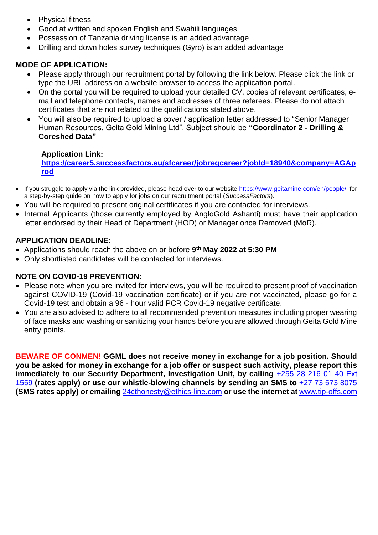- Physical fitness
- Good at written and spoken English and Swahili languages
- Possession of Tanzania driving license is an added advantage
- Drilling and down holes survey techniques (Gyro) is an added advantage

## **MODE OF APPLICATION:**

- Please apply through our recruitment portal by following the link below. Please click the link or type the URL address on a website browser to access the application portal.
- On the portal you will be required to upload your detailed CV, copies of relevant certificates, email and telephone contacts, names and addresses of three referees. Please do not attach certificates that are not related to the qualifications stated above.
- You will also be required to upload a cover / application letter addressed to "Senior Manager" Human Resources, Geita Gold Mining Ltd". Subject should be **"Coordinator 2 - Drilling & Coreshed Data"**

#### **Application Link:**

**[https://career5.successfactors.eu/sfcareer/jobreqcareer?jobId=18940&company=AGAp](https://career5.successfactors.eu/sfcareer/jobreqcareer?jobId=18940&company=AGAprod) [rod](https://career5.successfactors.eu/sfcareer/jobreqcareer?jobId=18940&company=AGAprod)**

- If you struggle to apply via the link provided, please head over to our website<https://www.geitamine.com/en/people/>for a step-by-step guide on how to apply for jobs on our recruitment portal (*SuccessFactors*).
- You will be required to present original certificates if you are contacted for interviews.
- Internal Applicants (those currently employed by AngloGold Ashanti) must have their application letter endorsed by their Head of Department (HOD) or Manager once Removed (MoR).

## **APPLICATION DEADLINE:**

- Applications should reach the above on or before **9 th May 2022 at 5:30 PM**
- Only shortlisted candidates will be contacted for interviews.

#### **NOTE ON COVID-19 PREVENTION:**

- Please note when you are invited for interviews, you will be required to present proof of vaccination against COVID-19 (Covid-19 vaccination certificate) or if you are not vaccinated, please go for a Covid-19 test and obtain a 96 - hour valid PCR Covid-19 negative certificate.
- You are also advised to adhere to all recommended prevention measures including proper wearing of face masks and washing or sanitizing your hands before you are allowed through Geita Gold Mine entry points.

**BEWARE OF CONMEN! GGML does not receive money in exchange for a job position. Should you be asked for money in exchange for a job offer or suspect such activity, please report this immediately to our Security Department, Investigation Unit, by calling +255 28 216 01 40 Ext** 1559 **(rates apply) or use our whistle-blowing channels by sending an SMS to** +27 73 573 8075 **(SMS rates apply) or emailing** [24cthonesty@ethics-line.com](mailto:24cthonesty@ethics-line.com) **or use the internet at** [www.tip-offs.com](http://www.tip-offs.com/)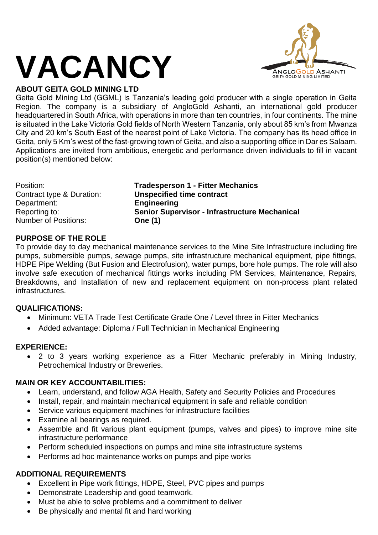# **VACANCY**



## **ABOUT GEITA GOLD MINING LTD**

Geita Gold Mining Ltd (GGML) is Tanzania's leading gold producer with a single operation in Geita Region. The company is a subsidiary of AngloGold Ashanti, an international gold producer headquartered in South Africa, with operations in more than ten countries, in four continents. The mine is situated in the Lake Victoria Gold fields of North Western Tanzania, only about 85 km's from Mwanza City and 20 km's South East of the nearest point of Lake Victoria. The company has its head office in Geita, only 5 Km's west of the fast-growing town of Geita, and also a supporting office in Dar es Salaam. Applications are invited from ambitious, energetic and performance driven individuals to fill in vacant position(s) mentioned below:

**Tradesperson 1 - Fitter Mechanics Unspecified time contract Engineering Senior Supervisor - Infrastructure Mechanical One (1)** 

## **PURPOSE OF THE ROLE**

To provide day to day mechanical maintenance services to the Mine Site Infrastructure including fire pumps, submersible pumps, sewage pumps, site infrastructure mechanical equipment, pipe fittings, HDPE Pipe Welding (But Fusion and Electrofusion), water pumps, bore hole pumps. The role will also involve safe execution of mechanical fittings works including PM Services, Maintenance, Repairs, Breakdowns, and Installation of new and replacement equipment on non-process plant related infrastructures.

## **QUALIFICATIONS:**

- Minimum: VETA Trade Test Certificate Grade One / Level three in Fitter Mechanics
- Added advantage: Diploma / Full Technician in Mechanical Engineering

#### **EXPERIENCE:**

• 2 to 3 years working experience as a Fitter Mechanic preferably in Mining Industry, Petrochemical Industry or Breweries.

## **MAIN OR KEY ACCOUNTABILITIES:**

- Learn, understand, and follow AGA Health, Safety and Security Policies and Procedures
- Install, repair, and maintain mechanical equipment in safe and reliable condition
- Service various equipment machines for infrastructure facilities
- Examine all bearings as required.
- Assemble and fit various plant equipment (pumps, valves and pipes) to improve mine site infrastructure performance
- Perform scheduled inspections on pumps and mine site infrastructure systems
- Performs ad hoc maintenance works on pumps and pipe works

## **ADDITIONAL REQUIREMENTS**

- Excellent in Pipe work fittings, HDPE, Steel, PVC pipes and pumps
- Demonstrate Leadership and good teamwork.
- Must be able to solve problems and a commitment to deliver
- Be physically and mental fit and hard working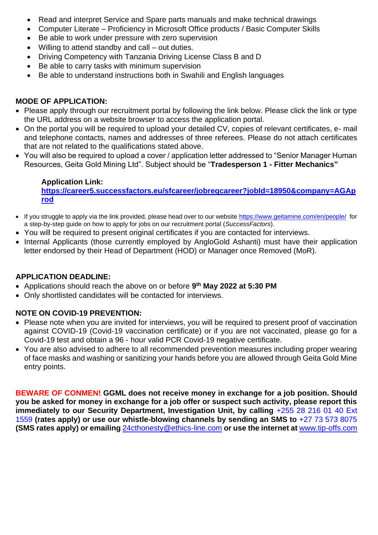- Read and interpret Service and Spare parts manuals and make technical drawings
- Computer Literate Proficiency in Microsoft Office products / Basic Computer Skills
- Be able to work under pressure with zero supervision
- Willing to attend standby and call out duties.
- Driving Competency with Tanzania Driving License Class B and D
- Be able to carry tasks with minimum supervision
- Be able to understand instructions both in Swahili and English languages

## **MODE OF APPLICATION:**

- Please apply through our recruitment portal by following the link below. Please click the link or type the URL address on a website browser to access the application portal.
- On the portal you will be required to upload your detailed CV, copies of relevant certificates, e- mail and telephone contacts, names and addresses of three referees. Please do not attach certificates that are not related to the qualifications stated above.
- You will also be required to upload a cover / application letter addressed to "Senior Manager Human Resources, Geita Gold Mining Ltd". Subject should be "**Tradesperson 1 - Fitter Mechanics"**

## **Application Link:**

**[https://career5.successfactors.eu/sfcareer/jobreqcareer?jobId=18950&company=AGAp](https://career5.successfactors.eu/sfcareer/jobreqcareer?jobId=18950&company=AGAprod) [rod](https://career5.successfactors.eu/sfcareer/jobreqcareer?jobId=18950&company=AGAprod)**

- If you struggle to apply via the link provided, please head over to our website<https://www.geitamine.com/en/people/>for a step-by-step guide on how to apply for jobs on our recruitment portal (*SuccessFactors*).
- You will be required to present original certificates if you are contacted for interviews.
- Internal Applicants (those currently employed by AngloGold Ashanti) must have their application letter endorsed by their Head of Department (HOD) or Manager once Removed (MoR).

## **APPLICATION DEADLINE:**

- Applications should reach the above on or before **9 th May 2022 at 5:30 PM**
- Only shortlisted candidates will be contacted for interviews.

## **NOTE ON COVID-19 PREVENTION:**

- Please note when you are invited for interviews, you will be required to present proof of vaccination against COVID-19 (Covid-19 vaccination certificate) or if you are not vaccinated, please go for a Covid-19 test and obtain a 96 - hour valid PCR Covid-19 negative certificate.
- You are also advised to adhere to all recommended prevention measures including proper wearing of face masks and washing or sanitizing your hands before you are allowed through Geita Gold Mine entry points.

**BEWARE OF CONMEN! GGML does not receive money in exchange for a job position. Should you be asked for money in exchange for a job offer or suspect such activity, please report this immediately to our Security Department, Investigation Unit, by calling +255 28 216 01 40 Ext** 1559 **(rates apply) or use our whistle-blowing channels by sending an SMS to** +27 73 573 8075 **(SMS rates apply) or emailing** [24cthonesty@ethics-line.com](mailto:24cthonesty@ethics-line.com) **or use the internet at** [www.tip-offs.com](http://www.tip-offs.com/)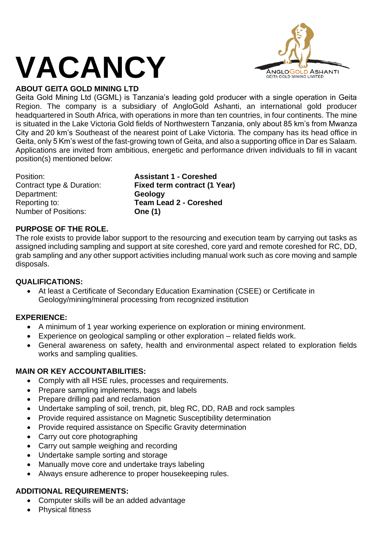## **VACANCY**



## **ABOUT GEITA GOLD MINING LTD**

Geita Gold Mining Ltd (GGML) is Tanzania's leading gold producer with a single operation in Geita Region. The company is a subsidiary of AngloGold Ashanti, an international gold producer headquartered in South Africa, with operations in more than ten countries, in four continents. The mine is situated in the Lake Victoria Gold fields of Northwestern Tanzania, only about 85 km's from Mwanza City and 20 km's Southeast of the nearest point of Lake Victoria. The company has its head office in Geita, only 5 Km's west of the fast-growing town of Geita, and also a supporting office in Dar es Salaam. Applications are invited from ambitious, energetic and performance driven individuals to fill in vacant position(s) mentioned below:

Department: **Geology** Number of Positions: **One (1)**

Position: **Assistant 1 - Coreshed** Contract type & Duration: **Fixed term contract (1 Year)** Reporting to: **Team Lead 2 - Coreshed**

## **PURPOSE OF THE ROLE.**

The role exists to provide labor support to the resourcing and execution team by carrying out tasks as assigned including sampling and support at site coreshed, core yard and remote coreshed for RC, DD, grab sampling and any other support activities including manual work such as core moving and sample disposals.

#### **QUALIFICATIONS:**

• At least a Certificate of Secondary Education Examination (CSEE) or Certificate in Geology/mining/mineral processing from recognized institution

#### **EXPERIENCE:**

- A minimum of 1 year working experience on exploration or mining environment.
- Experience on geological sampling or other exploration related fields work.
- General awareness on safety, health and environmental aspect related to exploration fields works and sampling qualities.

#### **MAIN OR KEY ACCOUNTABILITIES:**

- Comply with all HSE rules, processes and requirements.
- Prepare sampling implements, bags and labels
- Prepare drilling pad and reclamation
- Undertake sampling of soil, trench, pit, bleg RC, DD, RAB and rock samples
- Provide required assistance on Magnetic Susceptibility determination
- Provide required assistance on Specific Gravity determination
- Carry out core photographing
- Carry out sample weighing and recording
- Undertake sample sorting and storage
- Manually move core and undertake trays labeling
- Always ensure adherence to proper housekeeping rules.

## **ADDITIONAL REQUIREMENTS:**

- Computer skills will be an added advantage
- Physical fitness